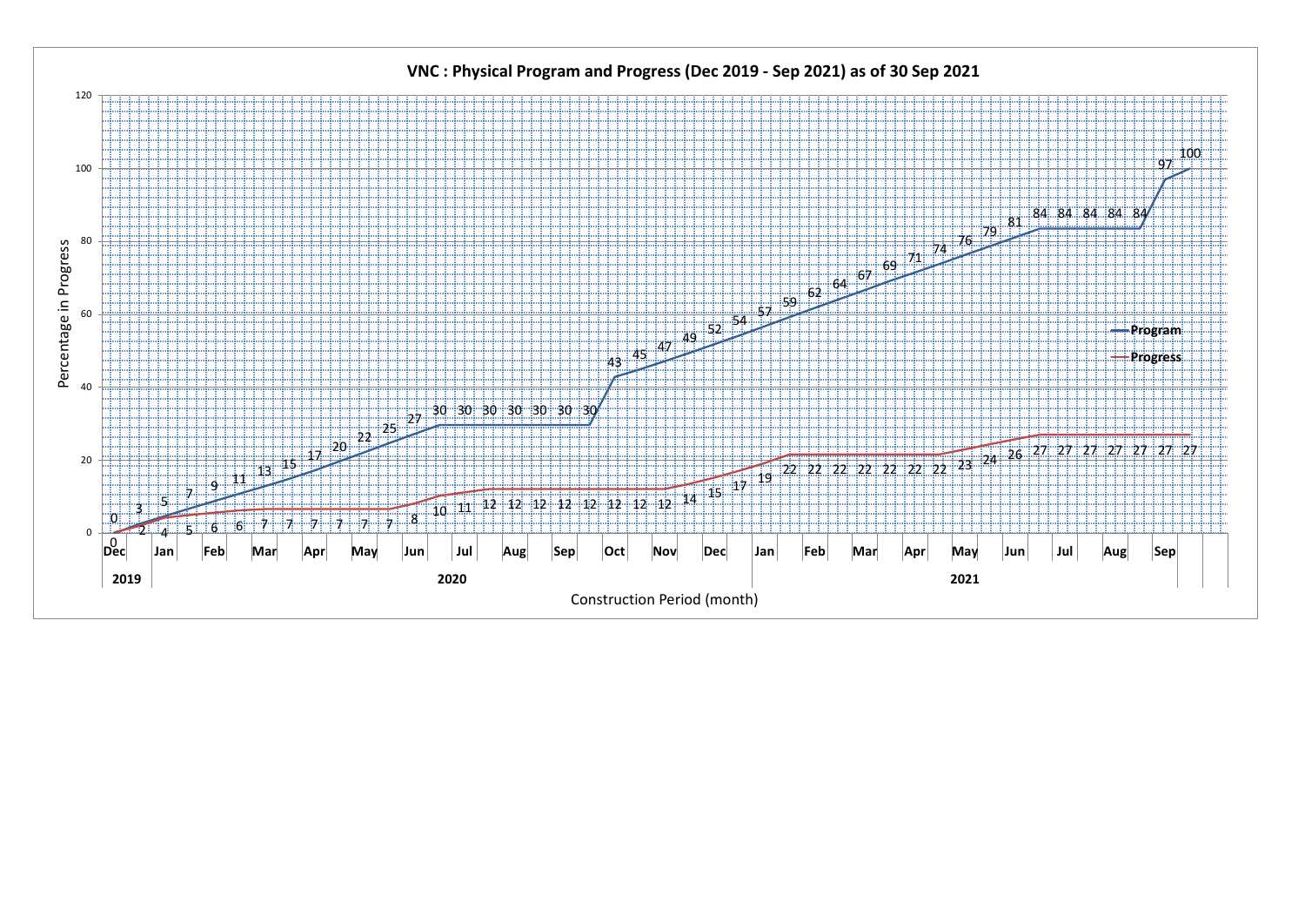